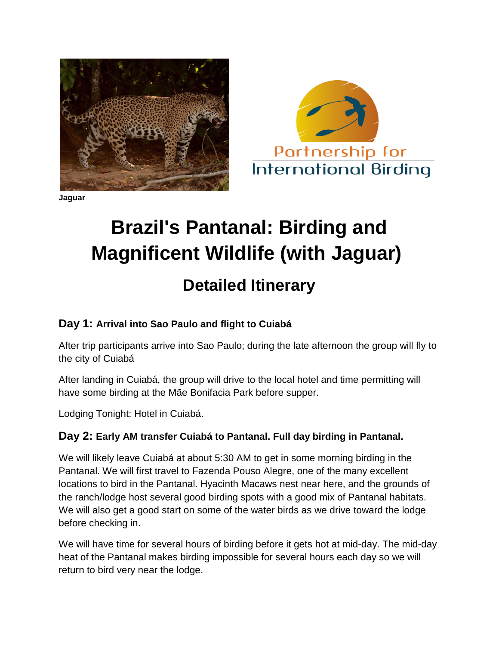

**Jaguar**



# **Brazil's Pantanal: Birding and Magnificent Wildlife (with Jaguar)**

## **Detailed Itinerary**

### **Day 1: Arrival into Sao Paulo and flight to Cuiabá**

After trip participants arrive into Sao Paulo; during the late afternoon the group will fly to the city of Cuiabá

After landing in Cuiabá, the group will drive to the local hotel and time permitting will have some birding at the Mãe Bonifacia Park before supper.

Lodging Tonight: Hotel in Cuiabá.

#### **Day 2: Early AM transfer Cuiabá to Pantanal. Full day birding in Pantanal.**

We will likely leave Cuiabá at about 5:30 AM to get in some morning birding in the Pantanal. We will first travel to Fazenda Pouso Alegre, one of the many excellent locations to bird in the Pantanal. Hyacinth Macaws nest near here, and the grounds of the ranch/lodge host several good birding spots with a good mix of Pantanal habitats. We will also get a good start on some of the water birds as we drive toward the lodge before checking in.

We will have time for several hours of birding before it gets hot at mid-day. The mid-day heat of the Pantanal makes birding impossible for several hours each day so we will return to bird very near the lodge.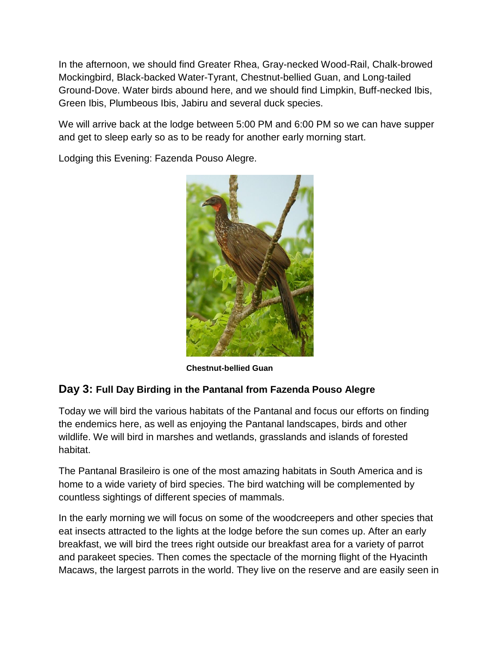In the afternoon, we should find Greater Rhea, Gray-necked Wood-Rail, Chalk-browed Mockingbird, Black-backed Water-Tyrant, Chestnut-bellied Guan, and Long-tailed Ground-Dove. Water birds abound here, and we should find Limpkin, Buff-necked Ibis, Green Ibis, Plumbeous Ibis, Jabiru and several duck species.

We will arrive back at the lodge between 5:00 PM and 6:00 PM so we can have supper and get to sleep early so as to be ready for another early morning start.

Lodging this Evening: Fazenda Pouso Alegre.



 **Chestnut-bellied Guan**

#### **Day 3: Full Day Birding in the Pantanal from Fazenda Pouso Alegre**

Today we will bird the various habitats of the Pantanal and focus our efforts on finding the endemics here, as well as enjoying the Pantanal landscapes, birds and other wildlife. We will bird in marshes and wetlands, grasslands and islands of forested habitat.

The Pantanal Brasileiro is one of the most amazing habitats in South America and is home to a wide variety of bird species. The bird watching will be complemented by countless sightings of different species of mammals.

In the early morning we will focus on some of the woodcreepers and other species that eat insects attracted to the lights at the lodge before the sun comes up. After an early breakfast, we will bird the trees right outside our breakfast area for a variety of parrot and parakeet species. Then comes the spectacle of the morning flight of the Hyacinth Macaws, the largest parrots in the world. They live on the reserve and are easily seen in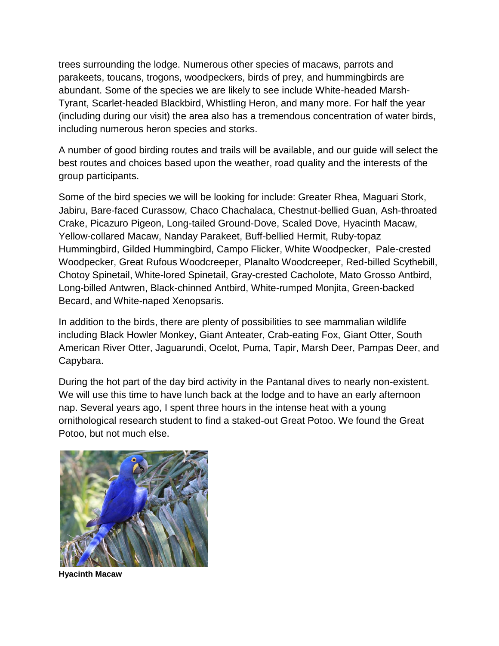trees surrounding the lodge. Numerous other species of macaws, parrots and parakeets, toucans, trogons, woodpeckers, birds of prey, and hummingbirds are abundant. Some of the species we are likely to see include White-headed Marsh-Tyrant, Scarlet-headed Blackbird, Whistling Heron, and many more. For half the year (including during our visit) the area also has a tremendous concentration of water birds, including numerous heron species and storks.

A number of good birding routes and trails will be available, and our guide will select the best routes and choices based upon the weather, road quality and the interests of the group participants.

Some of the bird species we will be looking for include: Greater Rhea, Maguari Stork, Jabiru, Bare-faced Curassow, Chaco Chachalaca, Chestnut-bellied Guan, Ash-throated Crake, Picazuro Pigeon, Long-tailed Ground-Dove, Scaled Dove, Hyacinth Macaw, Yellow-collared Macaw, Nanday Parakeet, Buff-bellied Hermit, Ruby-topaz Hummingbird, Gilded Hummingbird, Campo Flicker, White Woodpecker, Pale-crested Woodpecker, Great Rufous Woodcreeper, Planalto Woodcreeper, Red-billed Scythebill, Chotoy Spinetail, White-lored Spinetail, Gray-crested Cacholote, Mato Grosso Antbird, Long-billed Antwren, Black-chinned Antbird, White-rumped Monjita, Green-backed Becard, and White-naped Xenopsaris.

In addition to the birds, there are plenty of possibilities to see mammalian wildlife including Black Howler Monkey, Giant Anteater, Crab-eating Fox, Giant Otter, South American River Otter, Jaguarundi, Ocelot, Puma, Tapir, Marsh Deer, Pampas Deer, and Capybara.

During the hot part of the day bird activity in the Pantanal dives to nearly non-existent. We will use this time to have lunch back at the lodge and to have an early afternoon nap. Several years ago, I spent three hours in the intense heat with a young ornithological research student to find a staked-out Great Potoo. We found the Great Potoo, but not much else.



**Hyacinth Macaw**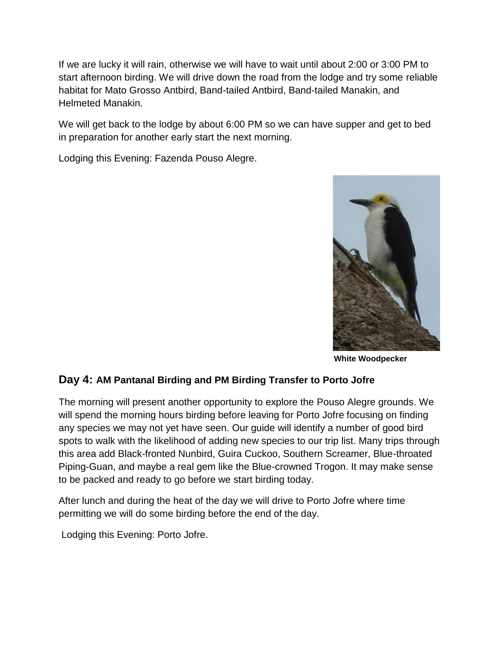If we are lucky it will rain, otherwise we will have to wait until about 2:00 or 3:00 PM to start afternoon birding. We will drive down the road from the lodge and try some reliable habitat for Mato Grosso Antbird, Band-tailed Antbird, Band-tailed Manakin, and Helmeted Manakin.

We will get back to the lodge by about 6:00 PM so we can have supper and get to bed in preparation for another early start the next morning.

Lodging this Evening: Fazenda Pouso Alegre.



 **White Woodpecker**

#### **Day 4: AM Pantanal Birding and PM Birding Transfer to Porto Jofre**

The morning will present another opportunity to explore the Pouso Alegre grounds. We will spend the morning hours birding before leaving for Porto Jofre focusing on finding any species we may not yet have seen. Our guide will identify a number of good bird spots to walk with the likelihood of adding new species to our trip list. Many trips through this area add Black-fronted Nunbird, Guira Cuckoo, Southern Screamer, Blue-throated Piping-Guan, and maybe a real gem like the Blue-crowned Trogon. It may make sense to be packed and ready to go before we start birding today.

After lunch and during the heat of the day we will drive to Porto Jofre where time permitting we will do some birding before the end of the day.

Lodging this Evening: Porto Jofre.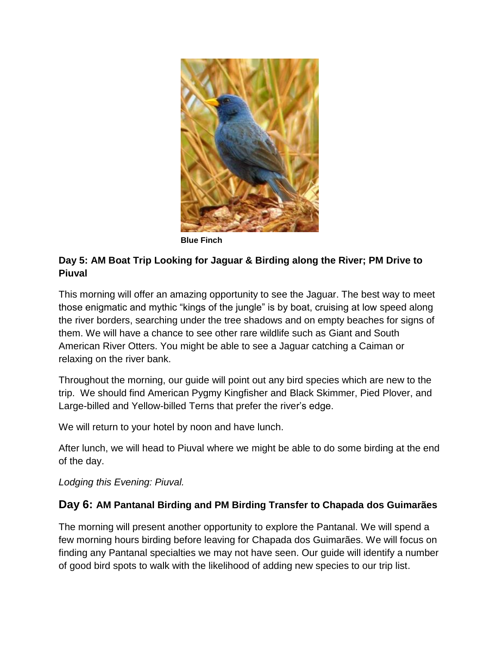

 **Blue Finch**

#### **Day 5: AM Boat Trip Looking for Jaguar & Birding along the River; PM Drive to Piuval**

This morning will offer an amazing opportunity to see the Jaguar. The best way to meet those enigmatic and mythic "kings of the jungle" is by boat, cruising at low speed along the river borders, searching under the tree shadows and on empty beaches for signs of them. We will have a chance to see other rare wildlife such as Giant and South American River Otters. You might be able to see a Jaguar catching a Caiman or relaxing on the river bank.

Throughout the morning, our guide will point out any bird species which are new to the trip. We should find American Pygmy Kingfisher and Black Skimmer, Pied Plover, and Large-billed and Yellow-billed Terns that prefer the river's edge.

We will return to your hotel by noon and have lunch.

After lunch, we will head to Piuval where we might be able to do some birding at the end of the day.

*Lodging this Evening: Piuval.*

#### **Day 6: AM Pantanal Birding and PM Birding Transfer to Chapada dos Guimarães**

The morning will present another opportunity to explore the Pantanal. We will spend a few morning hours birding before leaving for Chapada dos Guimarães. We will focus on finding any Pantanal specialties we may not have seen. Our guide will identify a number of good bird spots to walk with the likelihood of adding new species to our trip list.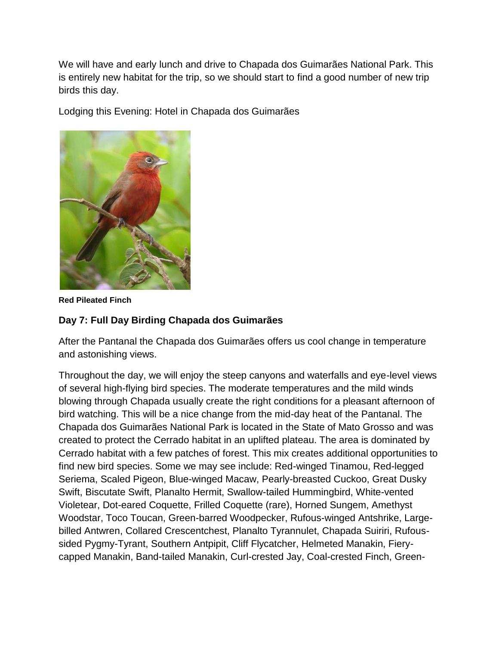We will have and early lunch and drive to Chapada dos Guimarães National Park. This is entirely new habitat for the trip, so we should start to find a good number of new trip birds this day.

Lodging this Evening: Hotel in Chapada dos Guimarães



**Red Pileated Finch**

#### **Day 7: Full Day Birding Chapada dos Guimarães**

After the Pantanal the Chapada dos Guimarães offers us cool change in temperature and astonishing views.

Throughout the day, we will enjoy the steep canyons and waterfalls and eye-level views of several high-flying bird species. The moderate temperatures and the mild winds blowing through Chapada usually create the right conditions for a pleasant afternoon of bird watching. This will be a nice change from the mid-day heat of the Pantanal. The Chapada dos Guimarães National Park is located in the State of Mato Grosso and was created to protect the Cerrado habitat in an uplifted plateau. The area is dominated by Cerrado habitat with a few patches of forest. This mix creates additional opportunities to find new bird species. Some we may see include: Red-winged Tinamou, Red-legged Seriema, Scaled Pigeon, Blue-winged Macaw, Pearly-breasted Cuckoo, Great Dusky Swift, Biscutate Swift, Planalto Hermit, Swallow-tailed Hummingbird, White-vented Violetear, Dot-eared Coquette, Frilled Coquette (rare), Horned Sungem, Amethyst Woodstar, Toco Toucan, Green-barred Woodpecker, Rufous-winged Antshrike, Largebilled Antwren, Collared Crescentchest, Planalto Tyrannulet, Chapada Suiriri, Rufoussided Pygmy-Tyrant, Southern Antpipit, Cliff Flycatcher, Helmeted Manakin, Fierycapped Manakin, Band-tailed Manakin, Curl-crested Jay, Coal-crested Finch, Green